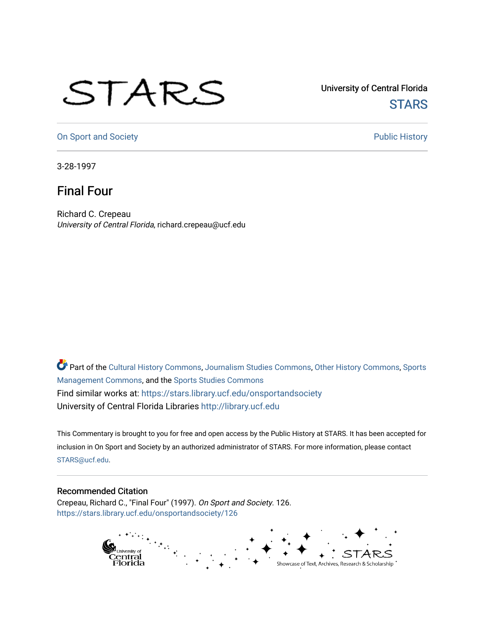## STARS

University of Central Florida **STARS** 

[On Sport and Society](https://stars.library.ucf.edu/onsportandsociety) **Public History** Public History

3-28-1997

## Final Four

Richard C. Crepeau University of Central Florida, richard.crepeau@ucf.edu

Part of the [Cultural History Commons](http://network.bepress.com/hgg/discipline/496?utm_source=stars.library.ucf.edu%2Fonsportandsociety%2F126&utm_medium=PDF&utm_campaign=PDFCoverPages), [Journalism Studies Commons,](http://network.bepress.com/hgg/discipline/333?utm_source=stars.library.ucf.edu%2Fonsportandsociety%2F126&utm_medium=PDF&utm_campaign=PDFCoverPages) [Other History Commons,](http://network.bepress.com/hgg/discipline/508?utm_source=stars.library.ucf.edu%2Fonsportandsociety%2F126&utm_medium=PDF&utm_campaign=PDFCoverPages) [Sports](http://network.bepress.com/hgg/discipline/1193?utm_source=stars.library.ucf.edu%2Fonsportandsociety%2F126&utm_medium=PDF&utm_campaign=PDFCoverPages) [Management Commons](http://network.bepress.com/hgg/discipline/1193?utm_source=stars.library.ucf.edu%2Fonsportandsociety%2F126&utm_medium=PDF&utm_campaign=PDFCoverPages), and the [Sports Studies Commons](http://network.bepress.com/hgg/discipline/1198?utm_source=stars.library.ucf.edu%2Fonsportandsociety%2F126&utm_medium=PDF&utm_campaign=PDFCoverPages) Find similar works at: <https://stars.library.ucf.edu/onsportandsociety> University of Central Florida Libraries [http://library.ucf.edu](http://library.ucf.edu/) 

This Commentary is brought to you for free and open access by the Public History at STARS. It has been accepted for inclusion in On Sport and Society by an authorized administrator of STARS. For more information, please contact [STARS@ucf.edu](mailto:STARS@ucf.edu).

## Recommended Citation

Crepeau, Richard C., "Final Four" (1997). On Sport and Society. 126. [https://stars.library.ucf.edu/onsportandsociety/126](https://stars.library.ucf.edu/onsportandsociety/126?utm_source=stars.library.ucf.edu%2Fonsportandsociety%2F126&utm_medium=PDF&utm_campaign=PDFCoverPages)

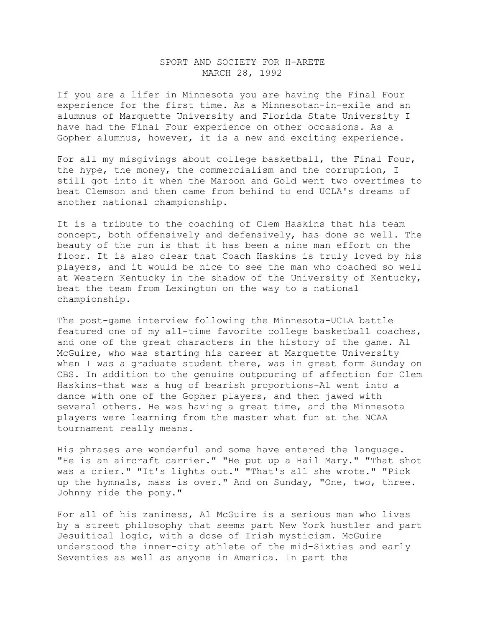## SPORT AND SOCIETY FOR H-ARETE MARCH 28, 1992

If you are a lifer in Minnesota you are having the Final Four experience for the first time. As a Minnesotan-in-exile and an alumnus of Marquette University and Florida State University I have had the Final Four experience on other occasions. As a Gopher alumnus, however, it is a new and exciting experience.

For all my misgivings about college basketball, the Final Four, the hype, the money, the commercialism and the corruption, I still got into it when the Maroon and Gold went two overtimes to beat Clemson and then came from behind to end UCLA's dreams of another national championship.

It is a tribute to the coaching of Clem Haskins that his team concept, both offensively and defensively, has done so well. The beauty of the run is that it has been a nine man effort on the floor. It is also clear that Coach Haskins is truly loved by his players, and it would be nice to see the man who coached so well at Western Kentucky in the shadow of the University of Kentucky, beat the team from Lexington on the way to a national championship.

The post-game interview following the Minnesota-UCLA battle featured one of my all-time favorite college basketball coaches, and one of the great characters in the history of the game. Al McGuire, who was starting his career at Marquette University when I was a graduate student there, was in great form Sunday on CBS. In addition to the genuine outpouring of affection for Clem Haskins-that was a hug of bearish proportions-Al went into a dance with one of the Gopher players, and then jawed with several others. He was having a great time, and the Minnesota players were learning from the master what fun at the NCAA tournament really means.

His phrases are wonderful and some have entered the language. "He is an aircraft carrier." "He put up a Hail Mary." "That shot was a crier." "It's lights out." "That's all she wrote." "Pick up the hymnals, mass is over." And on Sunday, "One, two, three. Johnny ride the pony."

For all of his zaniness, Al McGuire is a serious man who lives by a street philosophy that seems part New York hustler and part Jesuitical logic, with a dose of Irish mysticism. McGuire understood the inner-city athlete of the mid-Sixties and early Seventies as well as anyone in America. In part the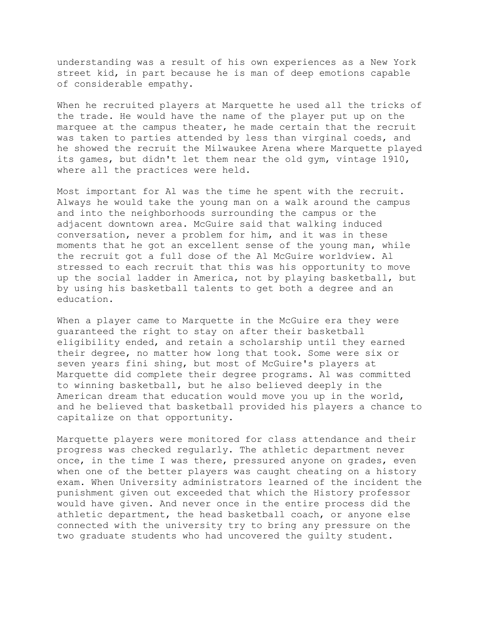understanding was a result of his own experiences as a New York street kid, in part because he is man of deep emotions capable of considerable empathy.

When he recruited players at Marquette he used all the tricks of the trade. He would have the name of the player put up on the marquee at the campus theater, he made certain that the recruit was taken to parties attended by less than virginal coeds, and he showed the recruit the Milwaukee Arena where Marquette played its games, but didn't let them near the old gym, vintage 1910, where all the practices were held.

Most important for Al was the time he spent with the recruit. Always he would take the young man on a walk around the campus and into the neighborhoods surrounding the campus or the adjacent downtown area. McGuire said that walking induced conversation, never a problem for him, and it was in these moments that he got an excellent sense of the young man, while the recruit got a full dose of the Al McGuire worldview. Al stressed to each recruit that this was his opportunity to move up the social ladder in America, not by playing basketball, but by using his basketball talents to get both a degree and an education.

When a player came to Marquette in the McGuire era they were guaranteed the right to stay on after their basketball eligibility ended, and retain a scholarship until they earned their degree, no matter how long that took. Some were six or seven years fini shing, but most of McGuire's players at Marquette did complete their degree programs. Al was committed to winning basketball, but he also believed deeply in the American dream that education would move you up in the world, and he believed that basketball provided his players a chance to capitalize on that opportunity.

Marquette players were monitored for class attendance and their progress was checked regularly. The athletic department never once, in the time I was there, pressured anyone on grades, even when one of the better players was caught cheating on a history exam. When University administrators learned of the incident the punishment given out exceeded that which the History professor would have given. And never once in the entire process did the athletic department, the head basketball coach, or anyone else connected with the university try to bring any pressure on the two graduate students who had uncovered the guilty student.